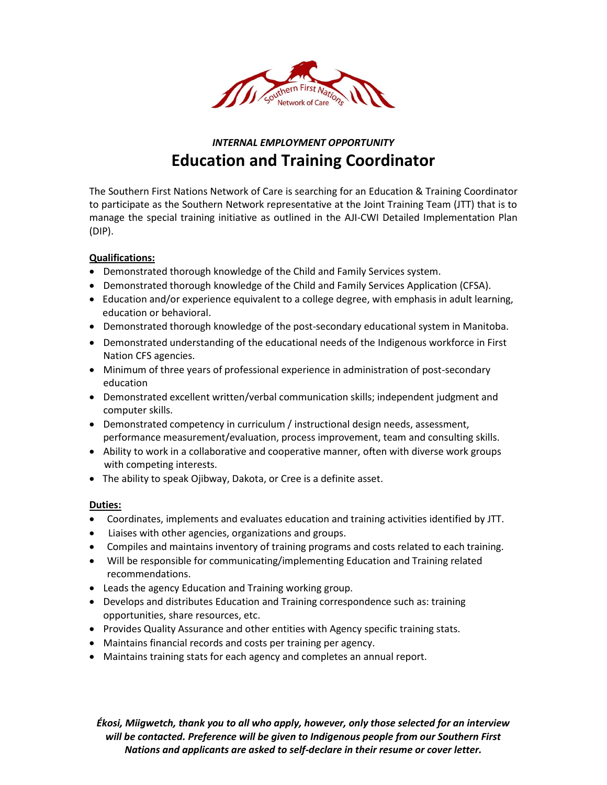

# *INTERNAL EMPLOYMENT OPPORTUNITY*  **Education and Training Coordinator**

The Southern First Nations Network of Care is searching for an Education & Training Coordinator to participate as the Southern Network representative at the Joint Training Team (JTT) that is to manage the special training initiative as outlined in the AJI-CWI Detailed Implementation Plan (DIP).

# **Qualifications:**

- Demonstrated thorough knowledge of the Child and Family Services system.
- Demonstrated thorough knowledge of the Child and Family Services Application (CFSA).
- Education and/or experience equivalent to a college degree, with emphasis in adult learning, education or behavioral.
- Demonstrated thorough knowledge of the post-secondary educational system in Manitoba.
- Demonstrated understanding of the educational needs of the Indigenous workforce in First Nation CFS agencies.
- Minimum of three years of professional experience in administration of post-secondary education
- Demonstrated excellent written/verbal communication skills; independent judgment and computer skills.
- Demonstrated competency in curriculum / instructional design needs, assessment, performance measurement/evaluation, process improvement, team and consulting skills.
- Ability to work in a collaborative and cooperative manner, often with diverse work groups with competing interests.
- The ability to speak Ojibway, Dakota, or Cree is a definite asset.

# **Duties:**

- Coordinates, implements and evaluates education and training activities identified by JTT.
- Liaises with other agencies, organizations and groups.
- Compiles and maintains inventory of training programs and costs related to each training.
- Will be responsible for communicating/implementing Education and Training related recommendations.
- Leads the agency Education and Training working group.
- Develops and distributes Education and Training correspondence such as: training opportunities, share resources, etc.
- Provides Quality Assurance and other entities with Agency specific training stats.
- Maintains financial records and costs per training per agency.
- Maintains training stats for each agency and completes an annual report.

*Ékosi, Miigwetch, thank you to all who apply, however, only those selected for an interview will be contacted. Preference will be given to Indigenous people from our Southern First Nations and applicants are asked to self-declare in their resume or cover letter.*